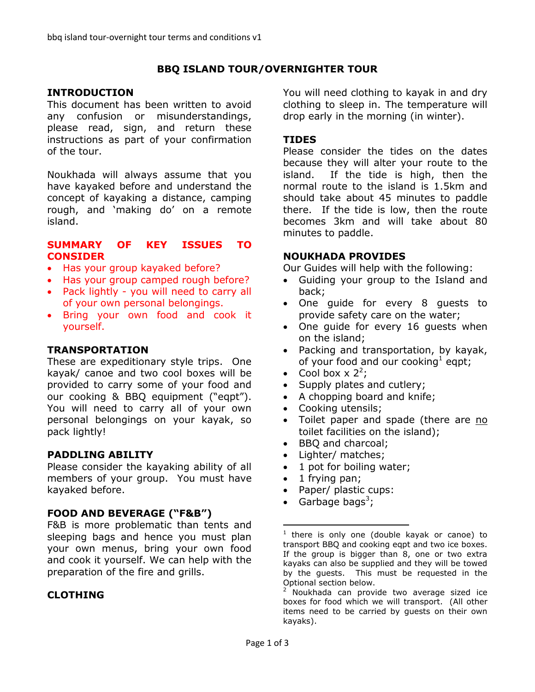## **BBQ ISLAND TOUR/OVERNIGHTER TOUR**

#### **INTRODUCTION**

This document has been written to avoid any confusion or misunderstandings, please read, sign, and return these instructions as part of your confirmation of the tour.

Noukhada will always assume that you have kayaked before and understand the concept of kayaking a distance, camping rough, and 'making do' on a remote island.

#### **SUMMARY OF KEY ISSUES TO CONSIDER**

- Has your group kayaked before?
- Has your group camped rough before?
- Pack lightly you will need to carry all of your own personal belongings.
- Bring your own food and cook it yourself.

#### **TRANSPORTATION**

These are expeditionary style trips. One kayak/ canoe and two cool boxes will be provided to carry some of your food and our cooking & BBQ equipment ("eqpt"). You will need to carry all of your own personal belongings on your kayak, so pack lightly!

#### **PADDLING ABILITY**

Please consider the kayaking ability of all members of your group. You must have kayaked before.

#### **FOOD AND BEVERAGE ("F&B")**

F&B is more problematic than tents and sleeping bags and hence you must plan your own menus, bring your own food and cook it yourself. We can help with the preparation of the fire and grills.

#### **CLOTHING**

You will need clothing to kayak in and dry clothing to sleep in. The temperature will drop early in the morning (in winter).

#### **TIDES**

Please consider the tides on the dates because they will alter your route to the island. If the tide is high, then the normal route to the island is 1.5km and should take about 45 minutes to paddle there. If the tide is low, then the route becomes 3km and will take about 80 minutes to paddle.

#### **NOUKHADA PROVIDES**

Our Guides will help with the following:

- Guiding your group to the Island and back;
- One guide for every 8 guests to provide safety care on the water;
- One guide for every 16 guests when on the island;
- Packing and transportation, by kayak, of your food and our cooking<sup>1</sup> eqpt;
- Cool box  $\times$  2<sup>2</sup>;
- Supply plates and cutlery;
- A chopping board and knife;
- Cooking utensils;
- Toilet paper and spade (there are no toilet facilities on the island);
- BBQ and charcoal;
- Lighter/ matches;
- 1 pot for boiling water;
- $\bullet$  1 frying pan;
- Paper/ plastic cups:
- Garbage bags<sup>3</sup>;

 $2$  Noukhada can provide two average sized ice boxes for food which we will transport. (All other items need to be carried by guests on their own kayaks).

 $\frac{1}{1}$ there is only one (double kayak or canoe) to transport BBQ and cooking eqpt and two ice boxes. If the group is bigger than 8, one or two extra kayaks can also be supplied and they will be towed by the guests. This must be requested in the Optional section below.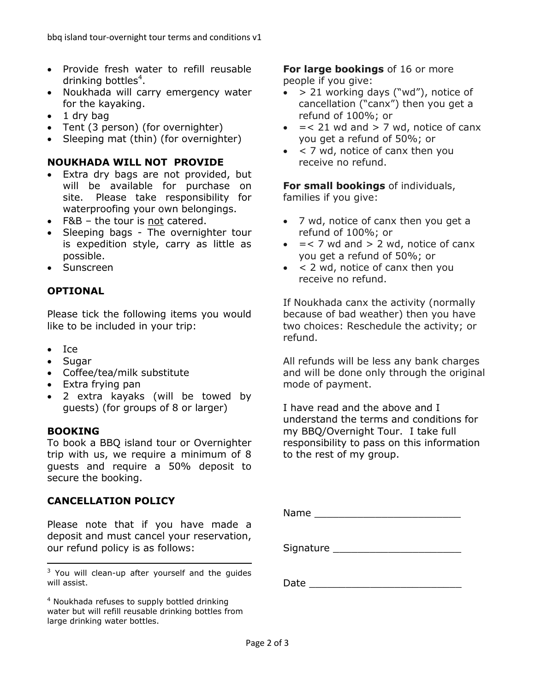- Provide fresh water to refill reusable drinking bottles<sup>4</sup>.
- Noukhada will carry emergency water for the kayaking.
- $\bullet$  1 dry bag
- Tent (3 person) (for overnighter)
- Sleeping mat (thin) (for overnighter)

## **NOUKHADA WILL NOT PROVIDE**

- Extra dry bags are not provided, but will be available for purchase on site. Please take responsibility for waterproofing your own belongings.
- F&B the tour is not catered.
- Sleeping bags The overnighter tour is expedition style, carry as little as possible.
- Sunscreen

## **OPTIONAL**

Please tick the following items you would like to be included in your trip:

- Ice
- Sugar
- Coffee/tea/milk substitute
- Extra frying pan
- 2 extra kayaks (will be towed by guests) (for groups of 8 or larger)

#### **BOOKING**

 $\overline{a}$ 

To book a BBQ island tour or Overnighter trip with us, we require a minimum of 8 guests and require a 50% deposit to secure the booking.

## **CANCELLATION POLICY**

Please note that if you have made a deposit and must cancel your reservation, our refund policy is as follows:

 $3$  You will clean-up after yourself and the quides will assist.

<sup>4</sup> Noukhada refuses to supply bottled drinking water but will refill reusable drinking bottles from large drinking water bottles.

**For large bookings** of 16 or more people if you give:

- $\bullet$  > 21 working days ("wd"), notice of cancellation ("canx") then you get a refund of 100%; or
- $=$  < 21 wd and > 7 wd, notice of canx you get a refund of 50%; or
- $\bullet$  < 7 wd, notice of canx then you receive no refund.

**For small bookings** of individuals, families if you give:

- 7 wd, notice of canx then you get a refund of 100%; or
- $\bullet$  = < 7 wd and > 2 wd, notice of canx you get a refund of 50%; or
- $\bullet$  < 2 wd, notice of canx then you receive no refund.

If Noukhada canx the activity (normally because of bad weather) then you have two choices: Reschedule the activity; or refund.

All refunds will be less any bank charges and will be done only through the original mode of payment.

I have read and the above and I understand the terms and conditions for my BBQ/Overnight Tour. I take full responsibility to pass on this information to the rest of my group.

Name **and all the set of the set of the set of the set of the set of the set of the set of the set of the set of the set of the set of the set of the set of the set of the set of the set of the set of the set of the set of** 

Signature \_\_\_\_\_\_\_\_\_\_\_\_\_\_\_\_\_\_\_\_\_

Date \_\_\_\_\_\_\_\_\_\_\_\_\_\_\_\_\_\_\_\_\_\_\_\_\_